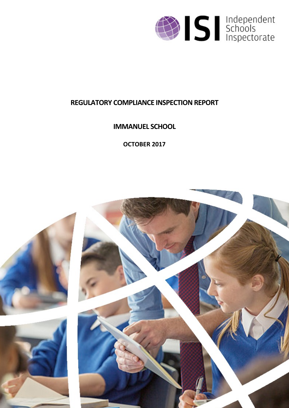

# **REGULATORY COMPLIANCE INSPECTION REPORT**

**IMMANUEL SCHOOL**

**OCTOBER 2017**

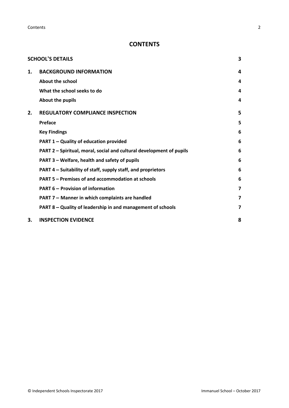**Contents** 2

## **CONTENTS**

|    | <b>SCHOOL'S DETAILS</b>                                              | 3 |
|----|----------------------------------------------------------------------|---|
| 1. | <b>BACKGROUND INFORMATION</b>                                        | 4 |
|    | About the school                                                     | 4 |
|    | What the school seeks to do                                          | 4 |
|    | About the pupils                                                     | 4 |
| 2. | <b>REGULATORY COMPLIANCE INSPECTION</b>                              | 5 |
|    | Preface                                                              | 5 |
|    | <b>Key Findings</b>                                                  | 6 |
|    | <b>PART 1 - Quality of education provided</b>                        | 6 |
|    | PART 2 - Spiritual, moral, social and cultural development of pupils | 6 |
|    | PART 3 - Welfare, health and safety of pupils                        | 6 |
|    | PART 4 – Suitability of staff, supply staff, and proprietors         | 6 |
|    | PART 5 – Premises of and accommodation at schools                    | 6 |
|    | <b>PART 6 - Provision of information</b>                             | 7 |
|    | PART 7 - Manner in which complaints are handled                      | 7 |
|    | PART 8 - Quality of leadership in and management of schools          | 7 |
| 3. | <b>INSPECTION EVIDENCE</b>                                           | 8 |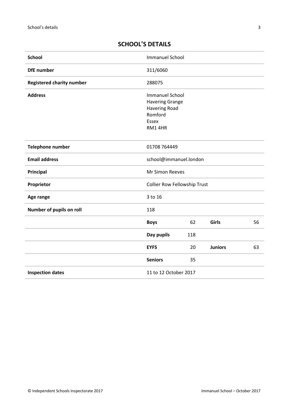# <span id="page-2-0"></span>**SCHOOL'S DETAILS**

| <b>School</b>                    | <b>Immanuel School</b>                                                                                 |     |                |    |
|----------------------------------|--------------------------------------------------------------------------------------------------------|-----|----------------|----|
| <b>DfE</b> number                | 311/6060                                                                                               |     |                |    |
| <b>Registered charity number</b> | 288075                                                                                                 |     |                |    |
| <b>Address</b>                   | <b>Immanuel School</b><br><b>Havering Grange</b><br><b>Havering Road</b><br>Romford<br>Essex<br>RM14HR |     |                |    |
| Telephone number                 | 01708 764449                                                                                           |     |                |    |
| <b>Email address</b>             | school@immanuel.london                                                                                 |     |                |    |
| <b>Principal</b>                 | Mr Simon Reeves                                                                                        |     |                |    |
| Proprietor                       | <b>Collier Row Fellowship Trust</b>                                                                    |     |                |    |
| Age range                        | 3 to 16                                                                                                |     |                |    |
| Number of pupils on roll         | 118                                                                                                    |     |                |    |
|                                  | <b>Boys</b>                                                                                            | 62  | Girls          | 56 |
|                                  | Day pupils                                                                                             | 118 |                |    |
|                                  | <b>EYFS</b>                                                                                            | 20  | <b>Juniors</b> | 63 |
|                                  | <b>Seniors</b>                                                                                         | 35  |                |    |
| <b>Inspection dates</b>          | 11 to 12 October 2017                                                                                  |     |                |    |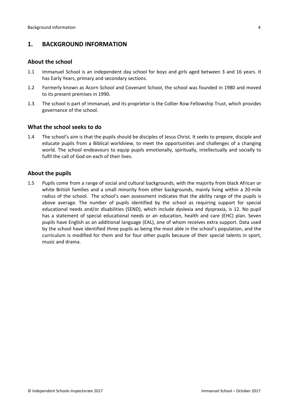## <span id="page-3-0"></span>**1. BACKGROUND INFORMATION**

#### <span id="page-3-1"></span>**About the school**

- 1.1 Immanuel School is an independent day school for boys and girls aged between 3 and 16 years. It has Early Years, primary and secondary sections.
- 1.2 Formerly known as Acorn School and Covenant School, the school was founded in 1980 and moved to its present premises in 1990.
- 1.3 The school is part of Immanuel, and its proprietor is the Collier Row Fellowship Trust, which provides governance of the school.

## <span id="page-3-2"></span>**What the school seeks to do**

1.4 The school's aim is that the pupils should be disciples of Jesus Christ. It seeks to prepare, disciple and educate pupils from a Biblical worldview, to meet the opportunities and challenges of a changing world. The school endeavours to equip pupils emotionally, spiritually, intellectually and socially to fulfil the call of God on each of their lives.

## <span id="page-3-3"></span>**About the pupils**

1.5 Pupils come from a range of social and cultural backgrounds, with the majority from black African or white British families and a small minority from other backgrounds, mainly living within a 20-mile radius of the school. The school's own assessment indicates that the ability range of the pupils is above average. The number of pupils identified by the school as requiring support for special educational needs and/or disabilities (SEND), which include dyslexia and dyspraxia, is 12. No pupil has a statement of special educational needs or an education, health and care (EHC) plan. Seven pupils have English as an additional language (EAL), one of whom receives extra support. Data used by the school have identified three pupils as being the most able in the school's population, and the curriculum is modified for them and for four other pupils because of their special talents in sport, music and drama.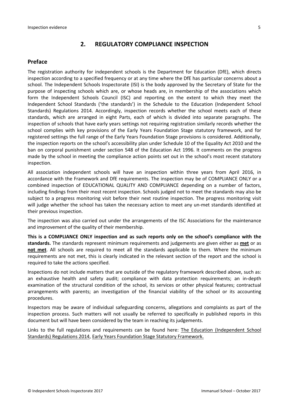## <span id="page-4-0"></span>**2. REGULATORY COMPLIANCE INSPECTION**

## <span id="page-4-1"></span>**Preface**

The registration authority for independent schools is the Department for Education (DfE), which directs inspection according to a specified frequency or at any time where the DfE has particular concerns about a school. The Independent Schools Inspectorate (ISI) is the body approved by the Secretary of State for the purpose of inspecting schools which are, or whose heads are, in membership of the associations which form the Independent Schools Council (ISC) and reporting on the extent to which they meet the Independent School Standards ('the standards') in the Schedule to the Education (Independent School Standards) Regulations 2014. Accordingly, inspection records whether the school meets each of these standards, which are arranged in eight Parts, each of which is divided into separate paragraphs. The inspection of schools that have early years settings not requiring registration similarly records whether the school complies with key provisions of the Early Years Foundation Stage statutory framework, and for registered settings the full range of the Early Years Foundation Stage provisions is considered. Additionally, the inspection reports on the school's accessibility plan under Schedule 10 of the Equality Act 2010 and the ban on corporal punishment under section 548 of the Education Act 1996. It comments on the progress made by the school in meeting the compliance action points set out in the school's most recent statutory inspection.

All association independent schools will have an inspection within three years from April 2016, in accordance with the Framework and DfE requirements. The inspection may be of COMPLIANCE ONLY or a combined inspection of EDUCATIONAL QUALITY AND COMPLIANCE depending on a number of factors, including findings from their most recent inspection. Schools judged not to meet the standards may also be subject to a progress monitoring visit before their next routine inspection. The progress monitoring visit will judge whether the school has taken the necessary action to meet any un-met standards identified at their previous inspection.

The inspection was also carried out under the arrangements of the ISC Associations for the maintenance and improvement of the quality of their membership.

**This is a COMPLIANCE ONLY inspection and as such reports only on the school's compliance with the standards.** The standards represent minimum requirements and judgements are given either as **met** or as **not met**. All schools are required to meet all the standards applicable to them. Where the minimum requirements are not met, this is clearly indicated in the relevant section of the report and the school is required to take the actions specified.

Inspections do not include matters that are outside of the regulatory framework described above, such as: an exhaustive health and safety audit; compliance with data protection requirements; an in-depth examination of the structural condition of the school, its services or other physical features; contractual arrangements with parents; an investigation of the financial viability of the school or its accounting procedures.

Inspectors may be aware of individual safeguarding concerns, allegations and complaints as part of the inspection process. Such matters will not usually be referred to specifically in published reports in this document but will have been considered by the team in reaching its judgements.

Links to the full regulations and requirements can be found here: The Education [\(Independent](http://www.legislation.gov.uk/uksi/2014/3283/contents/made) School Standards) [Regulations](http://www.legislation.gov.uk/uksi/2014/3283/contents/made) 2014, Early Years Foundation Stage Statutory [Framework.](https://www.gov.uk/government/publications/early-years-foundation-stage-framework--2)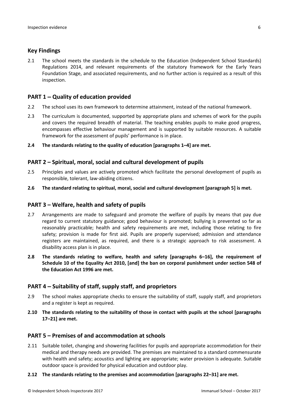#### <span id="page-5-0"></span>**Key Findings**

2.1 The school meets the standards in the schedule to the Education (Independent School Standards) Regulations 2014, and relevant requirements of the statutory framework for the Early Years Foundation Stage, and associated requirements, and no further action is required as a result of this inspection.

#### <span id="page-5-1"></span>**PART 1 – Quality of education provided**

- 2.2 The school uses its own framework to determine attainment, instead of the national framework.
- 2.3 The curriculum is documented, supported by appropriate plans and schemes of work for the pupils and covers the required breadth of material. The teaching enables pupils to make good progress, encompasses effective behaviour management and is supported by suitable resources. A suitable framework for the assessment of pupils' performance is in place.
- **2.4 The standards relating to the quality of education [paragraphs 1–4] are met.**

#### <span id="page-5-2"></span>**PART 2 – Spiritual, moral, social and cultural development of pupils**

- 2.5 Principles and values are actively promoted which facilitate the personal development of pupils as responsible, tolerant, law-abiding citizens.
- **2.6 The standard relating to spiritual, moral, social and cultural development [paragraph 5] is met.**

#### <span id="page-5-3"></span>**PART 3 – Welfare, health and safety of pupils**

- 2.7 Arrangements are made to safeguard and promote the welfare of pupils by means that pay due regard to current statutory guidance; good behaviour is promoted; bullying is prevented so far as reasonably practicable; health and safety requirements are met, including those relating to fire safety; provision is made for first aid. Pupils are properly supervised; admission and attendance registers are maintained, as required, and there is a strategic approach to risk assessment. A disability access plan is in place.
- **2.8 The standards relating to welfare, health and safety [paragraphs 6–16], the requirement of Schedule 10 of the Equality Act 2010, [and] the ban on corporal punishment under section 548 of the Education Act 1996 are met.**

#### <span id="page-5-4"></span>**PART 4 – Suitability of staff, supply staff, and proprietors**

- 2.9 The school makes appropriate checks to ensure the suitability of staff, supply staff, and proprietors and a register is kept as required.
- **2.10 The standards relating to the suitability of those in contact with pupils at the school [paragraphs 17–21] are met.**

#### <span id="page-5-5"></span>**PART 5 – Premises of and accommodation at schools**

2.11 Suitable toilet, changing and showering facilities for pupils and appropriate accommodation for their medical and therapy needs are provided. The premises are maintained to a standard commensurate with health and safety; acoustics and lighting are appropriate; water provision is adequate. Suitable outdoor space is provided for physical education and outdoor play.

#### **2.12 The standards relating to the premises and accommodation [paragraphs 22–31] are met.**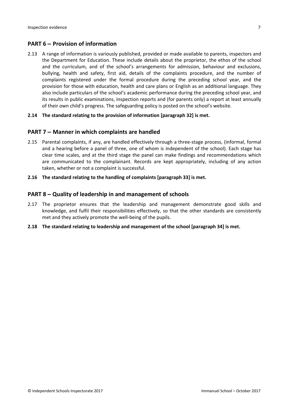## <span id="page-6-0"></span>**PART 6 – Provision of information**

2.13 A range of information is variously published, provided or made available to parents, inspectors and the Department for Education. These include details about the proprietor, the ethos of the school and the curriculum, and of the school's arrangements for admission, behaviour and exclusions, bullying, health and safety, first aid, details of the complaints procedure, and the number of complaints registered under the formal procedure during the preceding school year, and the provision for those with education, health and care plans or English as an additional language. They also include particulars of the school's academic performance during the preceding school year, and its results in public examinations, inspection reports and (for parents only) a report at least annually of their own child's progress. The safeguarding policy is posted on the school's website.

#### **2.14 The standard relating to the provision of information [paragraph 32] is met.**

## <span id="page-6-1"></span>**PART 7 – Manner in which complaints are handled**

- 2.15 Parental complaints, if any, are handled effectively through a three-stage process, (informal, formal and a hearing before a panel of three, one of whom is independent of the school). Each stage has clear time scales, and at the third stage the panel can make findings and recommendations which are communicated to the complainant. Records are kept appropriately, including of any action taken, whether or not a complaint is successful.
- **2.16 The standard relating to the handling of complaints [paragraph 33] is met.**

## <span id="page-6-2"></span>**PART 8 – Quality of leadership in and management of schools**

- 2.17 The proprietor ensures that the leadership and management demonstrate good skills and knowledge, and fulfil their responsibilities effectively, so that the other standards are consistently met and they actively promote the well-being of the pupils.
- **2.18 The standard relating to leadership and management of the school [paragraph 34] is met.**